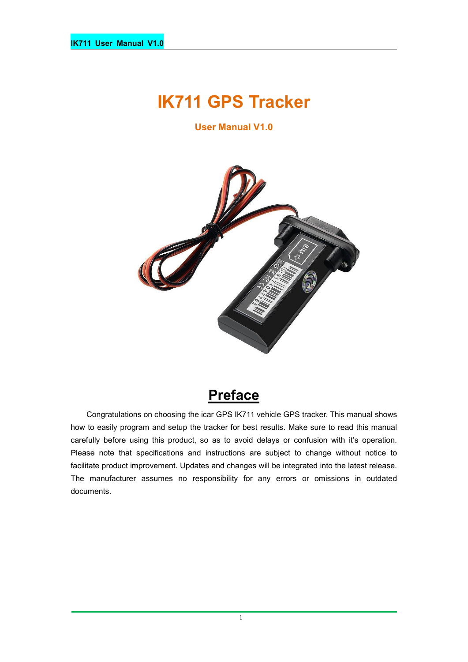# **IK711 GPS Tracker**

**User Manual V1.0**



## **Preface**

Congratulations on choosing the icar GPS IK711 vehicle GPS tracker. This manual shows how to easily program and setup the tracker for best results. Make sure to read this manual carefully before using this product, so as to avoid delays or confusion with it's operation. Please note that specifications and instructions are subject to change without notice to facilitate product improvement. Updates and changes will be integrated into the latest release. The manufacturer assumes no responsibility for any errors or omissions in outdated documents.

1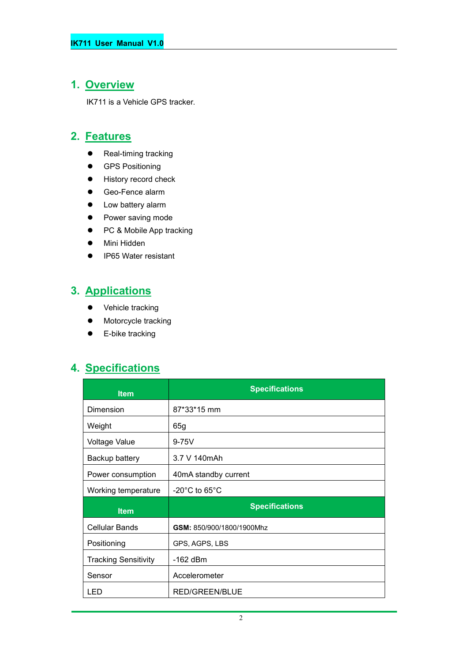#### **1. Overview**

IK711 is a Vehicle GPS tracker.

#### **2. Features**

- Real-timing tracking
- **•** GPS Positioning
- **•** History record check
- Geo-Fence alarm
- Low battery alarm
- Power saving mode
- PC & Mobile App tracking
- Mini Hidden
- IP65 Water resistant

## **3. Applications**

- Vehicle tracking
- $\bullet$  Motorcycle tracking
- **•** E-bike tracking

#### **4. Specifications**

| <b>Item</b>                 | <b>Specifications</b>              |
|-----------------------------|------------------------------------|
| Dimension                   | 87*33*15 mm                        |
| Weight                      | 65g                                |
| <b>Voltage Value</b>        | $9-75V$                            |
| Backup battery              | 3.7 V 140mAh                       |
| Power consumption           | 40mA standby current               |
| Working temperature         | $-20^{\circ}$ C to 65 $^{\circ}$ C |
| <b>Item</b>                 | <b>Specifications</b>              |
| <b>Cellular Bands</b>       | GSM: 850/900/1800/1900Mhz          |
| Positioning                 | GPS, AGPS, LBS                     |
| <b>Tracking Sensitivity</b> | -162 dBm                           |
| Sensor                      | Accelerometer                      |
| LED.                        | <b>RED/GREEN/BLUE</b>              |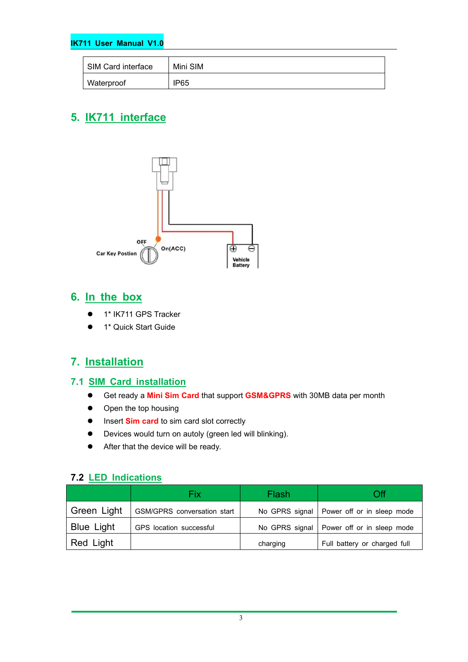#### **IK711 User Manual V1.0**

| SIM Card interface | Mini SIM |
|--------------------|----------|
| <b>Waterproof</b>  | IP65     |

## **5. IK711 interface**



#### **6. In the box**

- 1\* IK711 GPS Tracker
- **1** 1<sup>\*</sup> Quick Start Guide

#### **7. Installation**

#### **7.1 SIM Card installation**

- Get ready a **MiniSim Card** that support **GSM&GPRS** with30MB data per month
- Open the top housing
- $\bullet$  Insert **Sim card** to sim card slot correctly
- Devices would turn on autoly (green led will blinking).
- After that the device will be ready.

#### **7.2 LED Indications**

|                   | Fix                         | Flash    | Оff                                         |
|-------------------|-----------------------------|----------|---------------------------------------------|
| Green Light       | GSM/GPRS conversation start |          | No GPRS signal   Power off or in sleep mode |
| <b>Blue Light</b> | GPS location successful     |          | No GPRS signal   Power off or in sleep mode |
| Red Light         |                             | charging | Full battery or charged full                |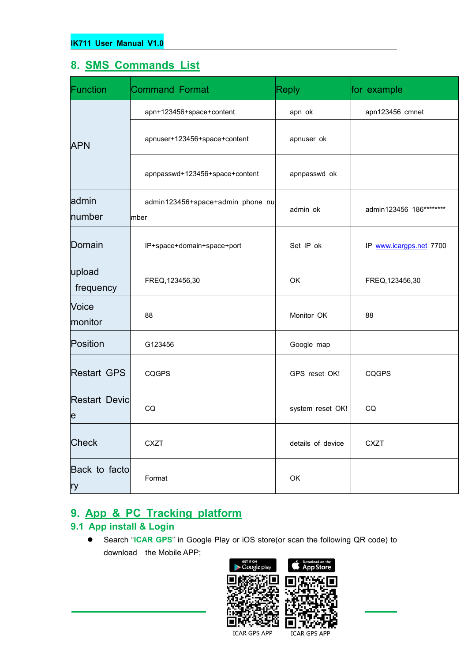#### **8. SMS Commands List**

| Function                                | <b>Command Format</b>                    | <b>Reply</b>      | for example             |
|-----------------------------------------|------------------------------------------|-------------------|-------------------------|
|                                         | apn+123456+space+content                 | apn ok            | apn123456 cmnet         |
| <b>APN</b>                              | apnuser+123456+space+content             | apnuser ok        |                         |
|                                         | apnpasswd+123456+space+content           | apnpasswd ok      |                         |
| admin<br>number                         | admin123456+space+admin phone nu<br>mber | admin ok          | admin123456 186******** |
| Domain                                  | IP+space+domain+space+port               | Set IP ok         | IP www.icargps.net 7700 |
| upload<br>frequency                     | FREQ, 123456, 30                         | OK                | FREQ, 123456, 30        |
| Voice<br>monitor                        | 88                                       | Monitor OK        | 88                      |
| Position                                | G123456                                  | Google map        |                         |
| <b>Restart GPS</b>                      | <b>CQGPS</b>                             | GPS reset OK!     | <b>CQGPS</b>            |
| <b>Restart Devic</b><br>$\vert e \vert$ | CQ                                       | system reset OK!  | CQ                      |
| Check                                   | <b>CXZT</b>                              | details of device | <b>CXZT</b>             |
| Back to facto<br>ry                     | Format                                   | OK                |                         |

## **9. App & PC Tracking platform**

#### **9.1 App install & Login**

 Search "**ICAR GPS**" in Google Play or iOS store(or scan the following QR code) to download the Mobile APP;



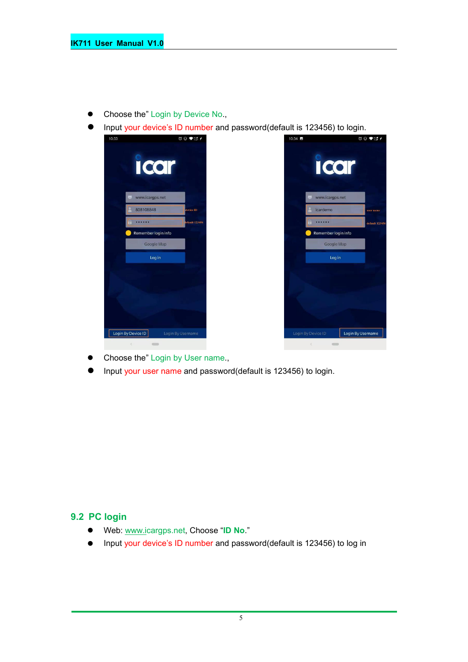- Choose the" Login by Device No.,
- Input your device's ID number and password(default is 123456) to login.



- Choose the" Login by User name.,
- Input your user name and password(default is 123456) to login.

#### **9.2 PC login**

- Web: [www.ic](http://www.trackits.com)argps.net, Choose "**ID No**."
- Input your device's ID number and password(default is 123456) to log in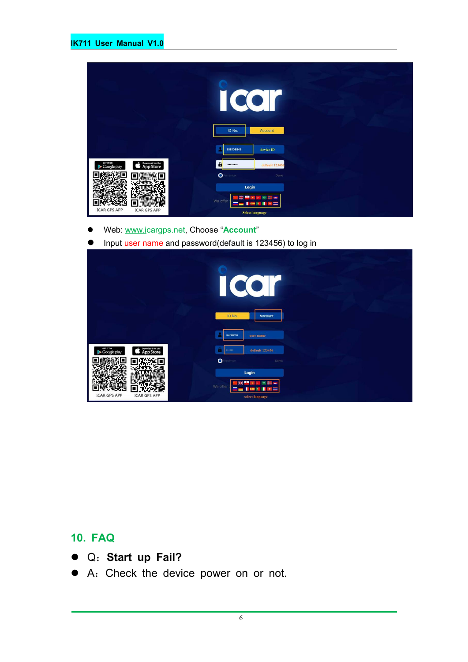|                                                                 | $\bullet$<br>$\sqrt{2}$<br>ID No.<br>Account                  |  |
|-----------------------------------------------------------------|---------------------------------------------------------------|--|
|                                                                 | 808108848<br>device ID                                        |  |
| Download on the<br>GET IT ON<br><b>App Store</b><br>Google play | $\mathbf{a}$<br>default 123456<br>                            |  |
|                                                                 | $\bullet$<br>enember<br>Demo                                  |  |
| <b>ICAR GPS APP</b><br><b>ICAR GPS APP</b>                      | Login<br>We offer<br>$\overline{a}$<br><b>Select language</b> |  |

- Web: [www.ic](http://www.trackits.com)argps.net, Choose "**Account**"
- **Input user name and password(default is 123456) to log in**

|                                                                 | CO<br>I                                                                           |
|-----------------------------------------------------------------|-----------------------------------------------------------------------------------|
|                                                                 | ID No.<br>Account<br>icardemo<br>user name                                        |
| GET IT ON<br>Download on the<br><b>App Store</b><br>Google play | default 123456<br><br>$\bullet$<br>enember<br>Demo                                |
| <b>ICAR GPS APP</b><br><b>ICAR GPS APP</b>                      | Login<br>÷<br>瑞<br>7,440<br>We offer<br>a i<br><b>COL</b><br>×<br>select language |

### **10. FAQ**

- Q:**Start up Fail?**
- A:Check the device power on or not.